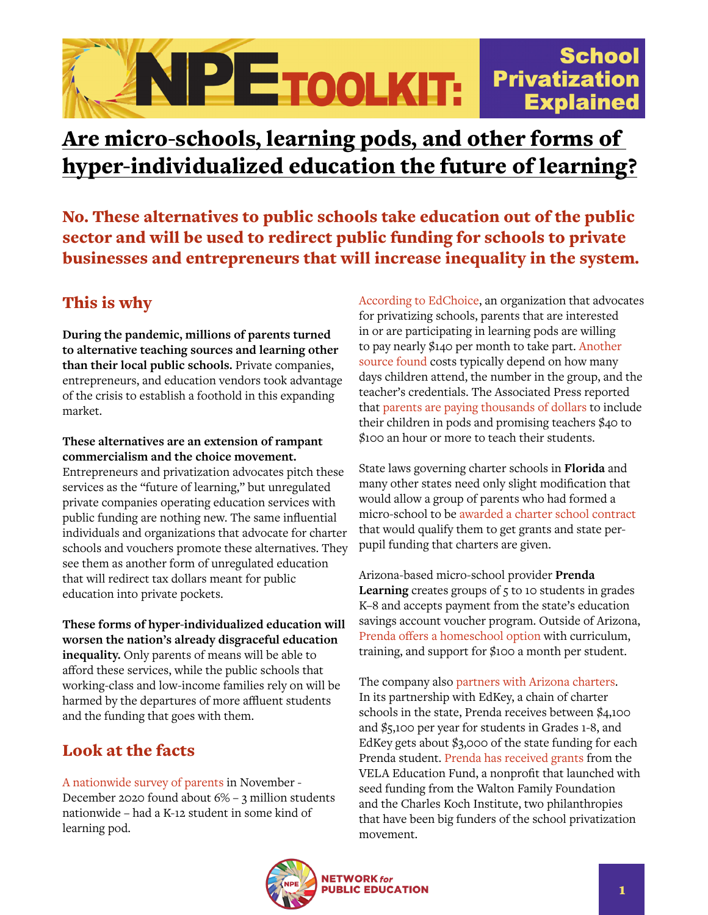## **School** NPETOOLKIT: **Privatization Explained**

# Are micro-schools, learning pods, and other forms of hyper-individualized education the future of learning?

No. These alternatives to public schools take education out of the public sector and will be used to redirect public funding for schools to private businesses and entrepreneurs that will increase inequality in the system.

## This is why

**During the pandemic, millions of parents turned to alternative teaching sources and learning other than their local public schools.** Private companies, entrepreneurs, and education vendors took advantage of the crisis to establish a foothold in this expanding market.

#### **These alternatives are an extension of rampant commercialism and the choice movement.**

Entrepreneurs and privatization advocates pitch these services as the "future of learning," but unregulated private companies operating education services with public funding are nothing new. The same influential individuals and organizations that advocate for charter schools and vouchers promote these alternatives. They see them as another form of unregulated education that will redirect tax dollars meant for public education into private pockets.

**These forms of hyper-individualized education will worsen the nation's already disgraceful education inequality.** Only parents of means will be able to afford these services, while the public schools that working-class and low-income families rely on will be harmed by the departures of more affluent students and the funding that goes with them.

## Look at the facts

[A nationwide survey of parents](https://www.educationnext.org/pandemic-parent-survey-finds-perverse-pattern-students-more-likely-to-be-attending-school-in-person-where-covid-is-spreading-more-rapidly/) in November - December 2020 found about 6% – 3 million students nationwide – had a K-12 student in some kind of learning pod.

[According to EdChoice](https://edchoice.morningconsultintelligence.com/assets/107350.pdf), an organization that advocates for privatizing schools, parents that are interested in or are participating in learning pods are willing to pay nearly \$140 per month to take part. [Another](https://www.the74million.org/article/california-pods-groups-children-backyard-park-families-online-instruction/)  [source found](https://www.the74million.org/article/california-pods-groups-children-backyard-park-families-online-instruction/) costs typically depend on how many days children attend, the number in the group, and the teacher's credentials. The Associated Press reported that [parents are paying thousands of dollars](https://www.pbs.org/newshour/education/why-parents-are-forming-learning-pods-and-how-they-might-deepen-inequality) to include their children in pods and promising teachers \$40 to \$100 an hour or more to teach their students.

State laws governing charter schools in **Florida** and many other states need only slight modification that would allow a group of parents who had formed a micro-school to be [awarded a charter school contract](https://www.gainesville.com/story/opinion/2021/02/17/r-craig-wood-and-keith-birkett-micro-schools-coming-educational-revolution/6741585002/) that would qualify them to get grants and state perpupil funding that charters are given.

Arizona-based micro-school provider **Prenda Learning** creates groups of 5 to 10 students in grades K–8 and accepts payment from the state's education savings account voucher program. Outside of Arizona, [Prenda offers a homeschool option](https://www.educationnext.org/rapid-rise-pandemic-pods-will-parent-response-covid-19-lead-to-lasting-changes/) with curriculum, training, and support for \$100 a month per student.

The company also [partners with Arizona charters](https://www.reportdoor.com/though-it-has-no-teachers-this-company-gets-millions-meant-for-private-charter-schools/). In its partnership with EdKey, a chain of charter schools in the state, Prenda receives between \$4,100 and \$5,100 per year for students in Grades 1-8, and EdKey gets about \$3,000 of the state funding for each Prenda student. [Prenda has received grants](https://www.forbes.com/sites/tomvanderark/2020/08/04/microschools-meet-the-moment/?sh=436380d0450a) from the VELA Education Fund, a nonprofit that launched with seed funding from the Walton Family Foundation and the Charles Koch Institute, two philanthropies that have been big funders of the school privatization movement.